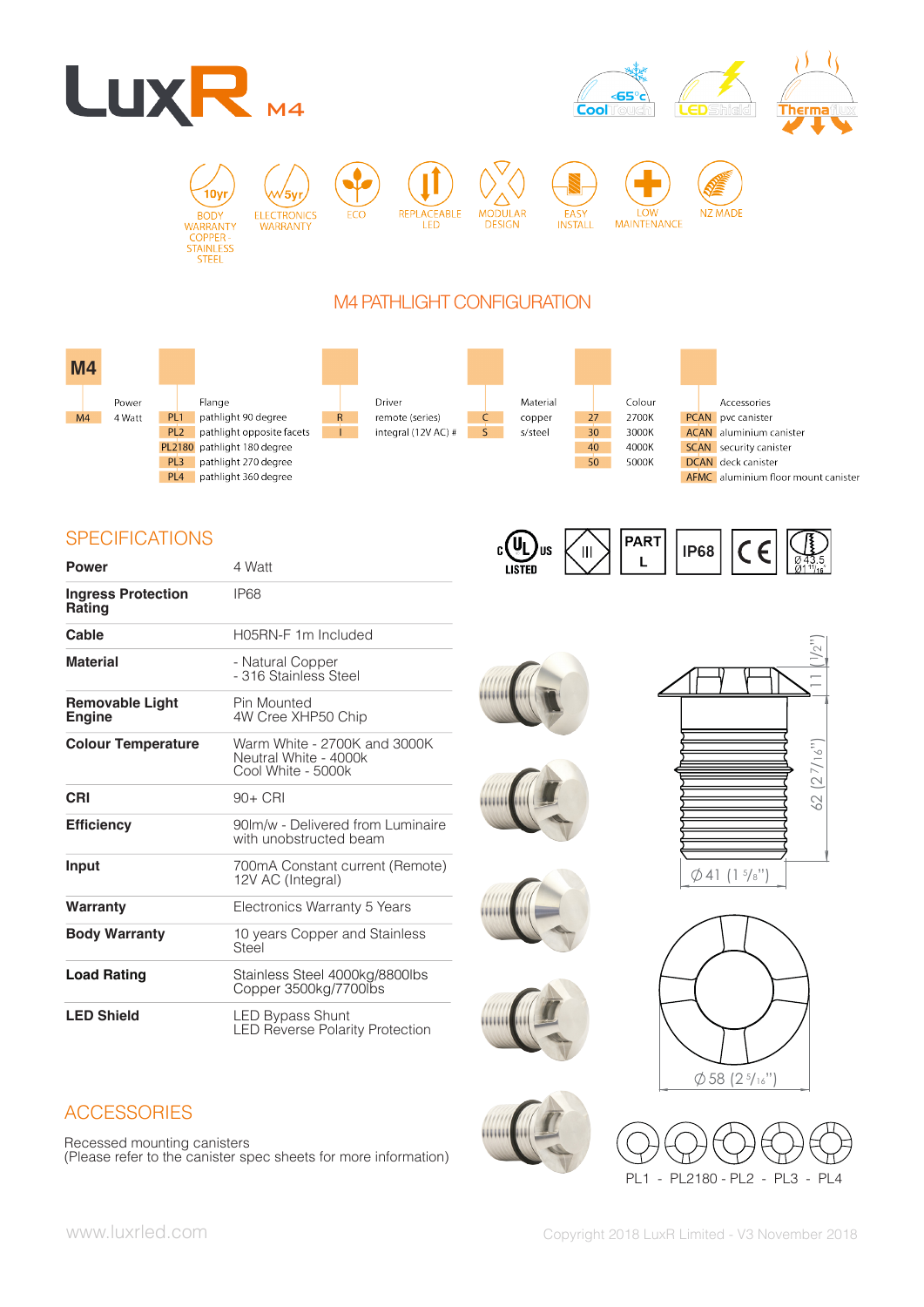



10y **RODY** WARRANTY  $C$ OPPER STAINLESS

**ELECTRONICS** WARRANTY



**DESIGN** 

**MODULAR** 



LOW

**PART** 

L

**IP68** 





# M4 PATHLIGHT CONFIGURATION



# **SPECIFICATIONS**

| <b>Power</b>                               | 4 Watt                                                                      |  |  |
|--------------------------------------------|-----------------------------------------------------------------------------|--|--|
| <b>Ingress Protection</b><br><b>Rating</b> | IP <sub>68</sub>                                                            |  |  |
| Cable                                      | H05RN-F 1m Included                                                         |  |  |
| <b>Material</b>                            | - Natural Copper<br>- 316 Stainless Steel                                   |  |  |
| <b>Removable Light</b><br><b>Engine</b>    | Pin Mounted<br>4W Cree XHP50 Chip                                           |  |  |
| <b>Colour Temperature</b>                  | Warm White - 2700K and 3000K<br>Neutral White - 4000k<br>Cool White - 5000k |  |  |
| CRI                                        | $90+$ CRI                                                                   |  |  |
| <b>Efficiency</b>                          | 90 m/w - Delivered from Luminaire<br>with unobstructed beam                 |  |  |
| Input                                      | 700mA Constant current (Remote)<br>12V AC (Integral)                        |  |  |
| Warranty                                   | Electronics Warranty 5 Years                                                |  |  |
| <b>Body Warranty</b>                       | 10 years Copper and Stainless<br>Steel                                      |  |  |
| <b>Load Rating</b>                         | Stainless Steel 4000kg/8800lbs<br>Copper 3500kg/7700lbs                     |  |  |
| <b>LED Shield</b>                          | <b>LED Bypass Shunt</b><br><b>LED Reverse Polarity Protection</b>           |  |  |



 $\mathbf{C}$ 

)us

 $\mathbf{I}$ 









€



PL1 - PL2180 - PL2 - PL3 - PL4

# **ACCESSORIES**

Recessed mounting canisters (Please refer to the canister spec sheets for more information)